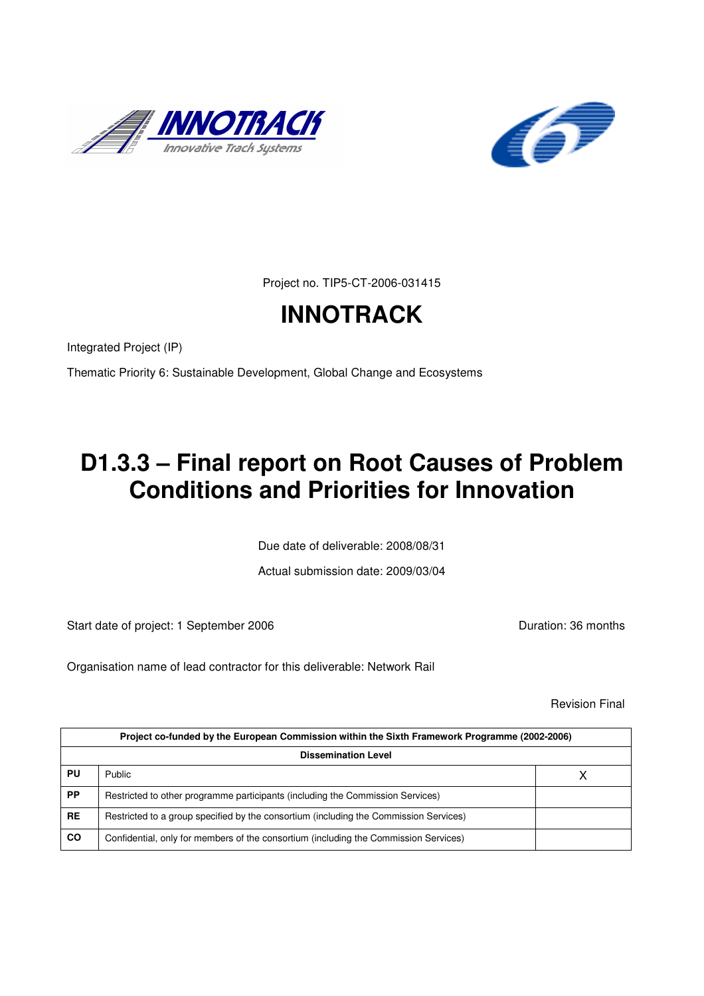



Project no. TIP5-CT-2006-031415

# **INNOTRACK**

Integrated Project (IP)

Thematic Priority 6: Sustainable Development, Global Change and Ecosystems

# **D1.3.3 – Final report on Root Causes of Problem Conditions and Priorities for Innovation**

Due date of deliverable: 2008/08/31

Actual submission date: 2009/03/04

Start date of project: 1 September 2006 **Duration: 36 months** 

Organisation name of lead contractor for this deliverable: Network Rail

Revision Final

| Project co-funded by the European Commission within the Sixth Framework Programme (2002-2006) |                                                                                       |  |  |  |  |
|-----------------------------------------------------------------------------------------------|---------------------------------------------------------------------------------------|--|--|--|--|
|                                                                                               | <b>Dissemination Level</b>                                                            |  |  |  |  |
| PU                                                                                            | <b>Public</b>                                                                         |  |  |  |  |
| <b>PP</b>                                                                                     | Restricted to other programme participants (including the Commission Services)        |  |  |  |  |
| <b>RE</b>                                                                                     | Restricted to a group specified by the consortium (including the Commission Services) |  |  |  |  |
| <b>CO</b>                                                                                     | Confidential, only for members of the consortium (including the Commission Services)  |  |  |  |  |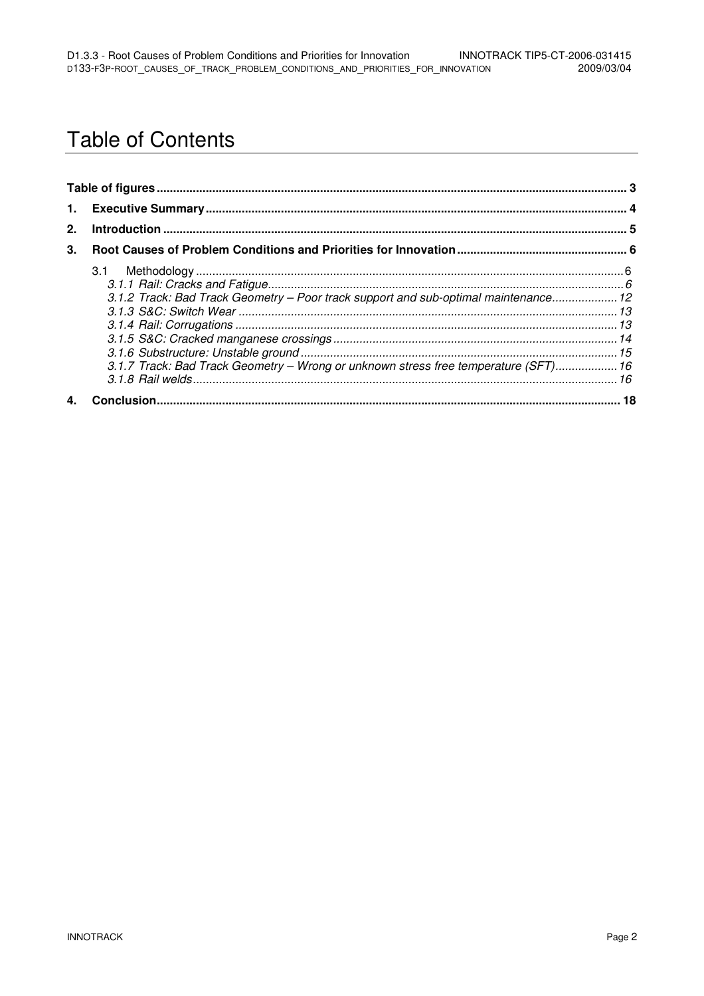## **Table of Contents**

| 2. |                                                                                                                                                                            |  |
|----|----------------------------------------------------------------------------------------------------------------------------------------------------------------------------|--|
| 3. |                                                                                                                                                                            |  |
|    | 3.1.2 Track: Bad Track Geometry - Poor track support and sub-optimal maintenance 12<br>3.1.7 Track: Bad Track Geometry - Wrong or unknown stress free temperature (SFT) 16 |  |
|    |                                                                                                                                                                            |  |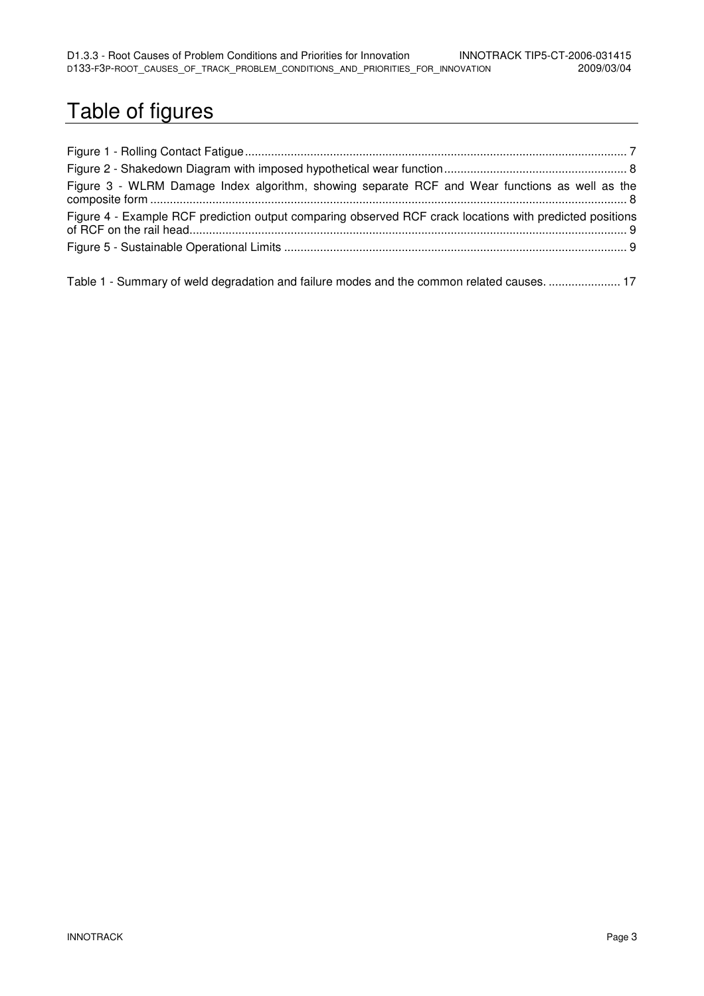# Table of figures

| Figure 3 - WLRM Damage Index algorithm, showing separate RCF and Wear functions as well as the           |  |
|----------------------------------------------------------------------------------------------------------|--|
| Figure 4 - Example RCF prediction output comparing observed RCF crack locations with predicted positions |  |
|                                                                                                          |  |
|                                                                                                          |  |

Table 1 - Summary of weld degradation and failure modes and the common related causes. ...................... 17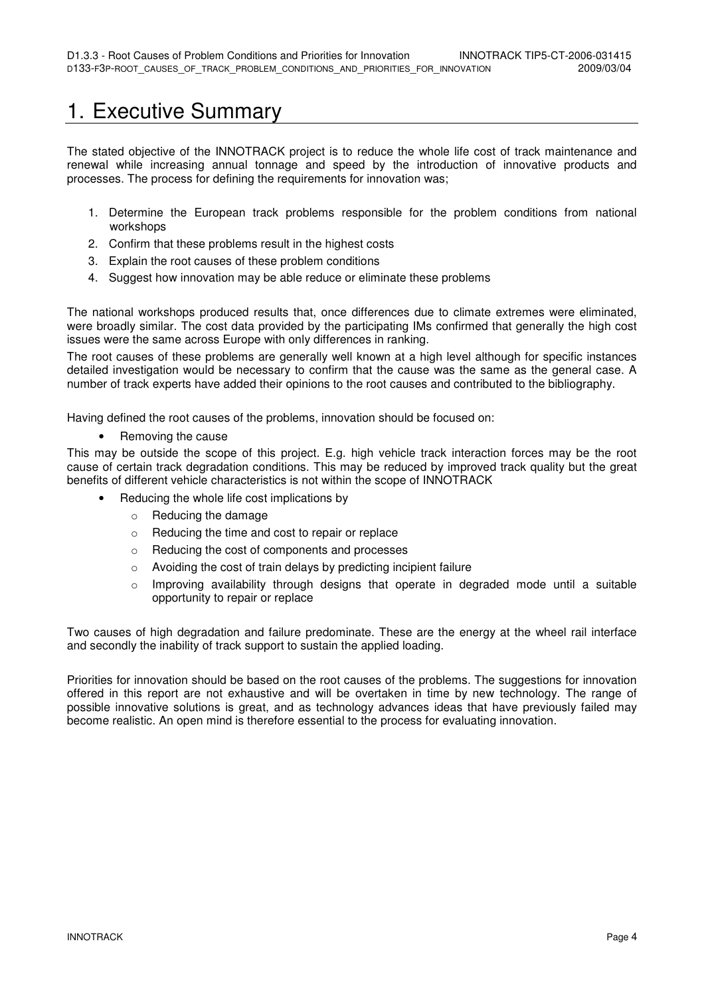## 1. Executive Summary

The stated objective of the INNOTRACK project is to reduce the whole life cost of track maintenance and renewal while increasing annual tonnage and speed by the introduction of innovative products and processes. The process for defining the requirements for innovation was;

- 1. Determine the European track problems responsible for the problem conditions from national workshops
- 2. Confirm that these problems result in the highest costs
- 3. Explain the root causes of these problem conditions
- 4. Suggest how innovation may be able reduce or eliminate these problems

The national workshops produced results that, once differences due to climate extremes were eliminated, were broadly similar. The cost data provided by the participating IMs confirmed that generally the high cost issues were the same across Europe with only differences in ranking.

The root causes of these problems are generally well known at a high level although for specific instances detailed investigation would be necessary to confirm that the cause was the same as the general case. A number of track experts have added their opinions to the root causes and contributed to the bibliography.

Having defined the root causes of the problems, innovation should be focused on:

• Removing the cause

This may be outside the scope of this project. E.g. high vehicle track interaction forces may be the root cause of certain track degradation conditions. This may be reduced by improved track quality but the great benefits of different vehicle characteristics is not within the scope of INNOTRACK

- Reducing the whole life cost implications by
	- o Reducing the damage
	- o Reducing the time and cost to repair or replace
	- o Reducing the cost of components and processes
	- o Avoiding the cost of train delays by predicting incipient failure
	- $\circ$  Improving availability through designs that operate in degraded mode until a suitable opportunity to repair or replace

Two causes of high degradation and failure predominate. These are the energy at the wheel rail interface and secondly the inability of track support to sustain the applied loading.

Priorities for innovation should be based on the root causes of the problems. The suggestions for innovation offered in this report are not exhaustive and will be overtaken in time by new technology. The range of possible innovative solutions is great, and as technology advances ideas that have previously failed may become realistic. An open mind is therefore essential to the process for evaluating innovation.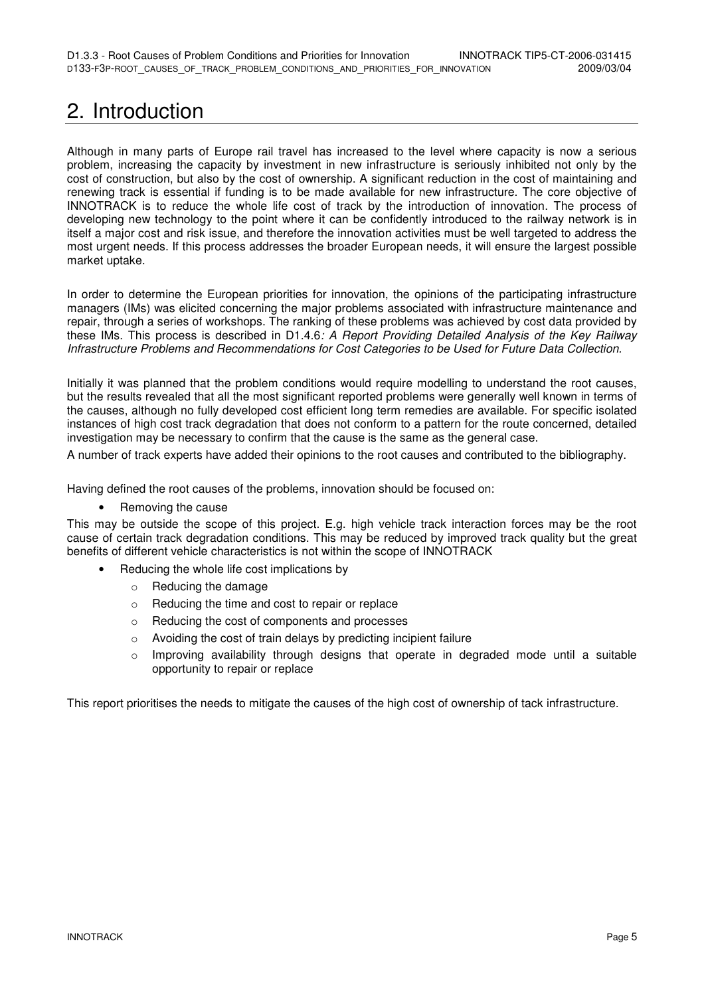# 2. Introduction

Although in many parts of Europe rail travel has increased to the level where capacity is now a serious problem, increasing the capacity by investment in new infrastructure is seriously inhibited not only by the cost of construction, but also by the cost of ownership. A significant reduction in the cost of maintaining and renewing track is essential if funding is to be made available for new infrastructure. The core objective of INNOTRACK is to reduce the whole life cost of track by the introduction of innovation. The process of developing new technology to the point where it can be confidently introduced to the railway network is in itself a major cost and risk issue, and therefore the innovation activities must be well targeted to address the most urgent needs. If this process addresses the broader European needs, it will ensure the largest possible market uptake.

In order to determine the European priorities for innovation, the opinions of the participating infrastructure managers (IMs) was elicited concerning the major problems associated with infrastructure maintenance and repair, through a series of workshops. The ranking of these problems was achieved by cost data provided by these IMs. This process is described in D1.4.6: A Report Providing Detailed Analysis of the Key Railway Infrastructure Problems and Recommendations for Cost Categories to be Used for Future Data Collection.

Initially it was planned that the problem conditions would require modelling to understand the root causes, but the results revealed that all the most significant reported problems were generally well known in terms of the causes, although no fully developed cost efficient long term remedies are available. For specific isolated instances of high cost track degradation that does not conform to a pattern for the route concerned, detailed investigation may be necessary to confirm that the cause is the same as the general case.

A number of track experts have added their opinions to the root causes and contributed to the bibliography.

Having defined the root causes of the problems, innovation should be focused on:

• Removing the cause

This may be outside the scope of this project. E.g. high vehicle track interaction forces may be the root cause of certain track degradation conditions. This may be reduced by improved track quality but the great benefits of different vehicle characteristics is not within the scope of INNOTRACK

- Reducing the whole life cost implications by
	- o Reducing the damage
	- o Reducing the time and cost to repair or replace
	- o Reducing the cost of components and processes
	- o Avoiding the cost of train delays by predicting incipient failure
	- $\circ$  Improving availability through designs that operate in degraded mode until a suitable opportunity to repair or replace

This report prioritises the needs to mitigate the causes of the high cost of ownership of tack infrastructure.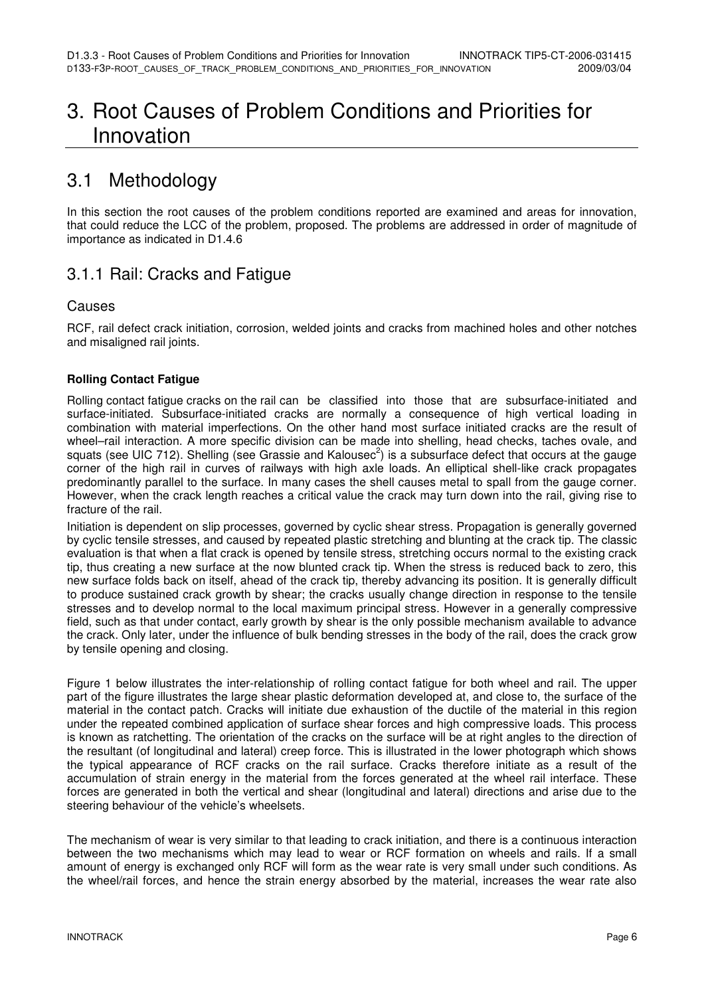## 3. Root Causes of Problem Conditions and Priorities for Innovation

## 3.1 Methodology

In this section the root causes of the problem conditions reported are examined and areas for innovation, that could reduce the LCC of the problem, proposed. The problems are addressed in order of magnitude of importance as indicated in D1.4.6

### 3.1.1 Rail: Cracks and Fatigue

#### **Causes**

RCF, rail defect crack initiation, corrosion, welded joints and cracks from machined holes and other notches and misaligned rail joints.

#### **Rolling Contact Fatigue**

Rolling contact fatigue cracks on the rail can be classified into those that are subsurface-initiated and surface-initiated. Subsurface-initiated cracks are normally a consequence of high vertical loading in combination with material imperfections. On the other hand most surface initiated cracks are the result of wheel–rail interaction. A more specific division can be made into shelling, head checks, taches ovale, and squats (see UIC 712). Shelling (see Grassie and Kalousec<sup>2</sup>) is a subsurface defect that occurs at the gauge corner of the high rail in curves of railways with high axle loads. An elliptical shell-like crack propagates predominantly parallel to the surface. In many cases the shell causes metal to spall from the gauge corner. However, when the crack length reaches a critical value the crack may turn down into the rail, giving rise to fracture of the rail.

Initiation is dependent on slip processes, governed by cyclic shear stress. Propagation is generally governed by cyclic tensile stresses, and caused by repeated plastic stretching and blunting at the crack tip. The classic evaluation is that when a flat crack is opened by tensile stress, stretching occurs normal to the existing crack tip, thus creating a new surface at the now blunted crack tip. When the stress is reduced back to zero, this new surface folds back on itself, ahead of the crack tip, thereby advancing its position. It is generally difficult to produce sustained crack growth by shear; the cracks usually change direction in response to the tensile stresses and to develop normal to the local maximum principal stress. However in a generally compressive field, such as that under contact, early growth by shear is the only possible mechanism available to advance the crack. Only later, under the influence of bulk bending stresses in the body of the rail, does the crack grow by tensile opening and closing.

Figure 1 below illustrates the inter-relationship of rolling contact fatigue for both wheel and rail. The upper part of the figure illustrates the large shear plastic deformation developed at, and close to, the surface of the material in the contact patch. Cracks will initiate due exhaustion of the ductile of the material in this region under the repeated combined application of surface shear forces and high compressive loads. This process is known as ratchetting. The orientation of the cracks on the surface will be at right angles to the direction of the resultant (of longitudinal and lateral) creep force. This is illustrated in the lower photograph which shows the typical appearance of RCF cracks on the rail surface. Cracks therefore initiate as a result of the accumulation of strain energy in the material from the forces generated at the wheel rail interface. These forces are generated in both the vertical and shear (longitudinal and lateral) directions and arise due to the steering behaviour of the vehicle's wheelsets.

The mechanism of wear is very similar to that leading to crack initiation, and there is a continuous interaction between the two mechanisms which may lead to wear or RCF formation on wheels and rails. If a small amount of energy is exchanged only RCF will form as the wear rate is very small under such conditions. As the wheel/rail forces, and hence the strain energy absorbed by the material, increases the wear rate also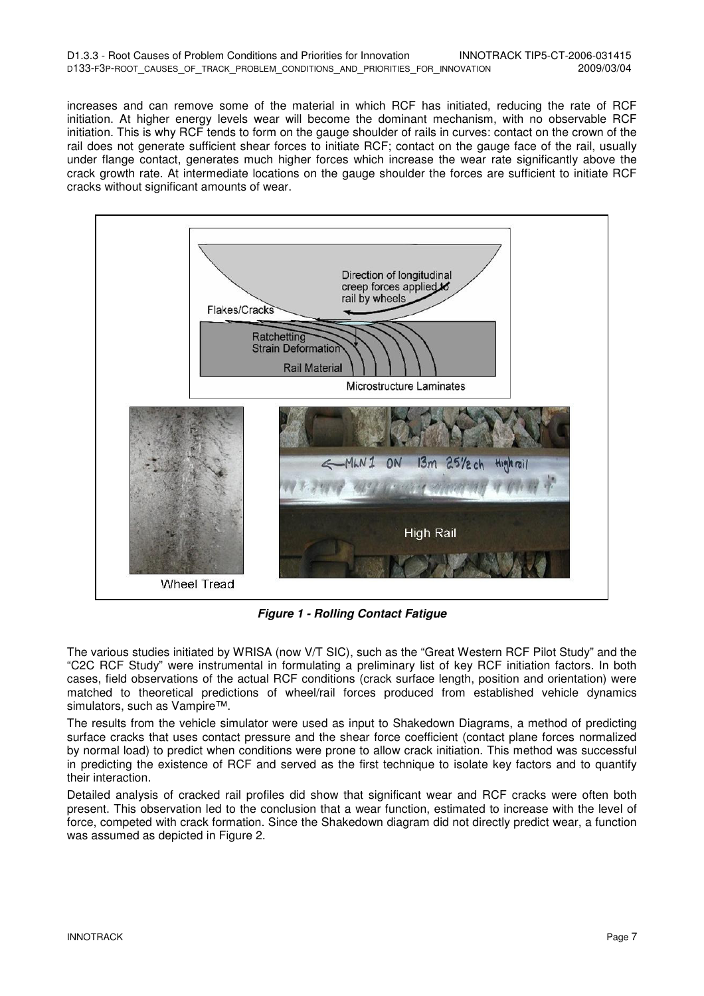| D1.3.3 - Root Causes of Problem Conditions and Priorities for Innovation       |  |  |  |  | INNOTRACK TIP5-CT-2006-031415 |
|--------------------------------------------------------------------------------|--|--|--|--|-------------------------------|
| D133-F3P-ROOT CAUSES OF TRACK PROBLEM CONDITIONS AND PRIORITIES FOR INNOVATION |  |  |  |  | 2009/03/04                    |

increases and can remove some of the material in which RCF has initiated, reducing the rate of RCF initiation. At higher energy levels wear will become the dominant mechanism, with no observable RCF initiation. This is why RCF tends to form on the gauge shoulder of rails in curves: contact on the crown of the rail does not generate sufficient shear forces to initiate RCF; contact on the gauge face of the rail, usually under flange contact, generates much higher forces which increase the wear rate significantly above the crack growth rate. At intermediate locations on the gauge shoulder the forces are sufficient to initiate RCF cracks without significant amounts of wear.



**Figure 1 - Rolling Contact Fatigue** 

The various studies initiated by WRISA (now V/T SIC), such as the "Great Western RCF Pilot Study" and the "C2C RCF Study" were instrumental in formulating a preliminary list of key RCF initiation factors. In both cases, field observations of the actual RCF conditions (crack surface length, position and orientation) were matched to theoretical predictions of wheel/rail forces produced from established vehicle dynamics simulators, such as Vampire™.

The results from the vehicle simulator were used as input to Shakedown Diagrams, a method of predicting surface cracks that uses contact pressure and the shear force coefficient (contact plane forces normalized by normal load) to predict when conditions were prone to allow crack initiation. This method was successful in predicting the existence of RCF and served as the first technique to isolate key factors and to quantify their interaction.

Detailed analysis of cracked rail profiles did show that significant wear and RCF cracks were often both present. This observation led to the conclusion that a wear function, estimated to increase with the level of force, competed with crack formation. Since the Shakedown diagram did not directly predict wear, a function was assumed as depicted in Figure 2.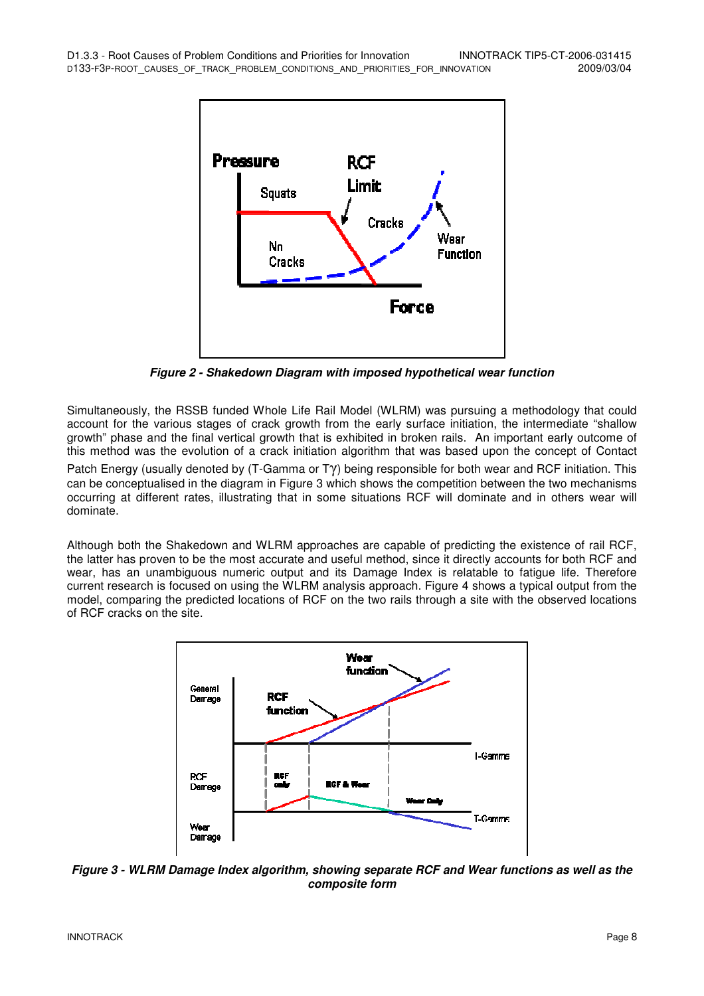

**Figure 2 - Shakedown Diagram with imposed hypothetical wear function** 

Simultaneously, the RSSB funded Whole Life Rail Model (WLRM) was pursuing a methodology that could account for the various stages of crack growth from the early surface initiation, the intermediate "shallow growth" phase and the final vertical growth that is exhibited in broken rails. An important early outcome of this method was the evolution of a crack initiation algorithm that was based upon the concept of Contact Patch Energy (usually denoted by (T-Gamma or Tγ) being responsible for both wear and RCF initiation. This can be conceptualised in the diagram in Figure 3 which shows the competition between the two mechanisms occurring at different rates, illustrating that in some situations RCF will dominate and in others wear will dominate.

Although both the Shakedown and WLRM approaches are capable of predicting the existence of rail RCF, the latter has proven to be the most accurate and useful method, since it directly accounts for both RCF and wear, has an unambiguous numeric output and its Damage Index is relatable to fatigue life. Therefore current research is focused on using the WLRM analysis approach. Figure 4 shows a typical output from the model, comparing the predicted locations of RCF on the two rails through a site with the observed locations of RCF cracks on the site.



**Figure 3 - WLRM Damage Index algorithm, showing separate RCF and Wear functions as well as the composite form**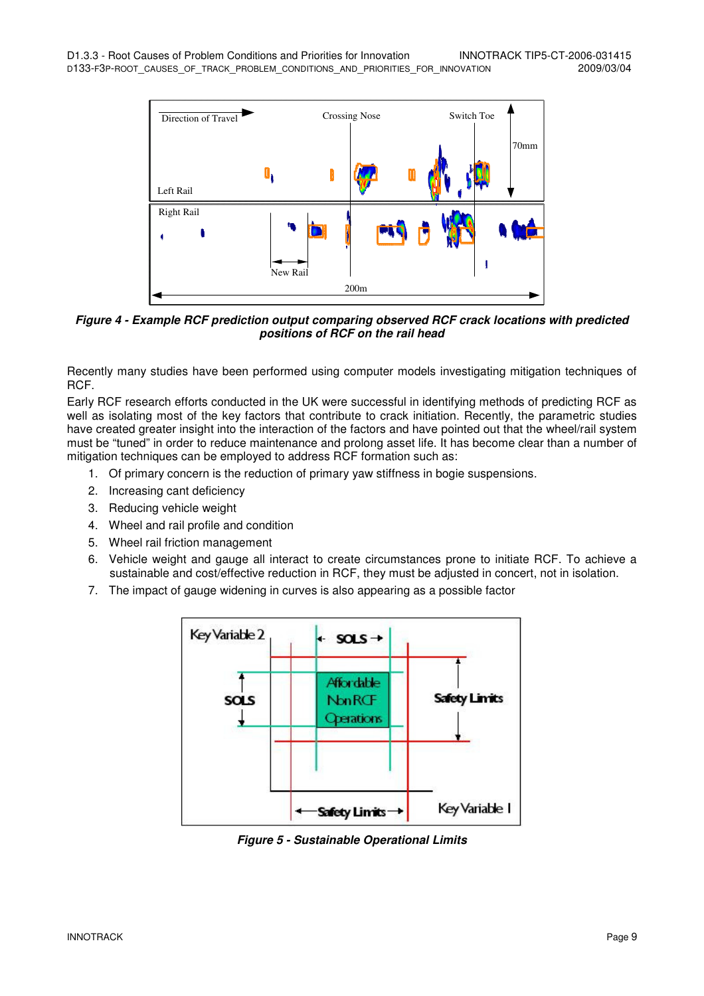

**Figure 4 - Example RCF prediction output comparing observed RCF crack locations with predicted positions of RCF on the rail head** 

Recently many studies have been performed using computer models investigating mitigation techniques of RCF.

Early RCF research efforts conducted in the UK were successful in identifying methods of predicting RCF as well as isolating most of the key factors that contribute to crack initiation. Recently, the parametric studies have created greater insight into the interaction of the factors and have pointed out that the wheel/rail system must be "tuned" in order to reduce maintenance and prolong asset life. It has become clear than a number of mitigation techniques can be employed to address RCF formation such as:

- 1. Of primary concern is the reduction of primary yaw stiffness in bogie suspensions.
- 2. Increasing cant deficiency
- 3. Reducing vehicle weight
- 4. Wheel and rail profile and condition
- 5. Wheel rail friction management
- 6. Vehicle weight and gauge all interact to create circumstances prone to initiate RCF. To achieve a sustainable and cost/effective reduction in RCF, they must be adjusted in concert, not in isolation.
- 7. The impact of gauge widening in curves is also appearing as a possible factor



**Figure 5 - Sustainable Operational Limits**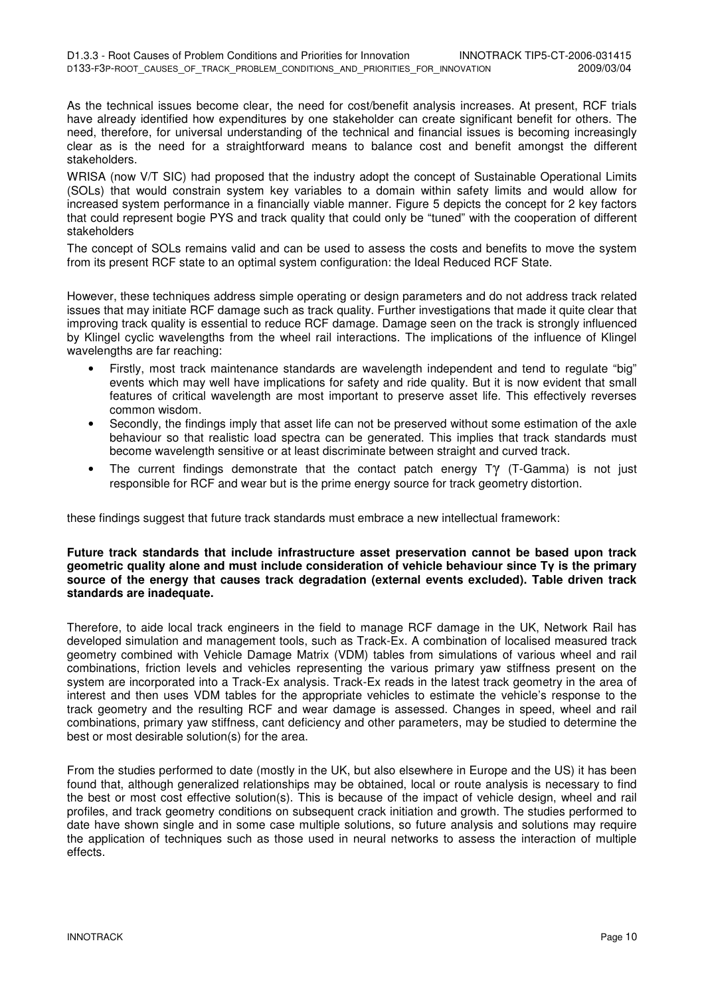As the technical issues become clear, the need for cost/benefit analysis increases. At present, RCF trials have already identified how expenditures by one stakeholder can create significant benefit for others. The need, therefore, for universal understanding of the technical and financial issues is becoming increasingly clear as is the need for a straightforward means to balance cost and benefit amongst the different stakeholders.

WRISA (now V/T SIC) had proposed that the industry adopt the concept of Sustainable Operational Limits (SOLs) that would constrain system key variables to a domain within safety limits and would allow for increased system performance in a financially viable manner. Figure 5 depicts the concept for 2 key factors that could represent bogie PYS and track quality that could only be "tuned" with the cooperation of different stakeholders

The concept of SOLs remains valid and can be used to assess the costs and benefits to move the system from its present RCF state to an optimal system configuration: the Ideal Reduced RCF State.

However, these techniques address simple operating or design parameters and do not address track related issues that may initiate RCF damage such as track quality. Further investigations that made it quite clear that improving track quality is essential to reduce RCF damage. Damage seen on the track is strongly influenced by Klingel cyclic wavelengths from the wheel rail interactions. The implications of the influence of Klingel wavelengths are far reaching:

- Firstly, most track maintenance standards are wavelength independent and tend to regulate "big" events which may well have implications for safety and ride quality. But it is now evident that small features of critical wavelength are most important to preserve asset life. This effectively reverses common wisdom.
- Secondly, the findings imply that asset life can not be preserved without some estimation of the axle behaviour so that realistic load spectra can be generated. This implies that track standards must become wavelength sensitive or at least discriminate between straight and curved track.
- The current findings demonstrate that the contact patch energy T $\gamma$  (T-Gamma) is not just responsible for RCF and wear but is the prime energy source for track geometry distortion.

these findings suggest that future track standards must embrace a new intellectual framework:

#### **Future track standards that include infrastructure asset preservation cannot be based upon track geometric quality alone and must include consideration of vehicle behaviour since T**γ **is the primary source of the energy that causes track degradation (external events excluded). Table driven track standards are inadequate.**

Therefore, to aide local track engineers in the field to manage RCF damage in the UK, Network Rail has developed simulation and management tools, such as Track-Ex. A combination of localised measured track geometry combined with Vehicle Damage Matrix (VDM) tables from simulations of various wheel and rail combinations, friction levels and vehicles representing the various primary yaw stiffness present on the system are incorporated into a Track-Ex analysis. Track-Ex reads in the latest track geometry in the area of interest and then uses VDM tables for the appropriate vehicles to estimate the vehicle's response to the track geometry and the resulting RCF and wear damage is assessed. Changes in speed, wheel and rail combinations, primary yaw stiffness, cant deficiency and other parameters, may be studied to determine the best or most desirable solution(s) for the area.

From the studies performed to date (mostly in the UK, but also elsewhere in Europe and the US) it has been found that, although generalized relationships may be obtained, local or route analysis is necessary to find the best or most cost effective solution(s). This is because of the impact of vehicle design, wheel and rail profiles, and track geometry conditions on subsequent crack initiation and growth. The studies performed to date have shown single and in some case multiple solutions, so future analysis and solutions may require the application of techniques such as those used in neural networks to assess the interaction of multiple effects.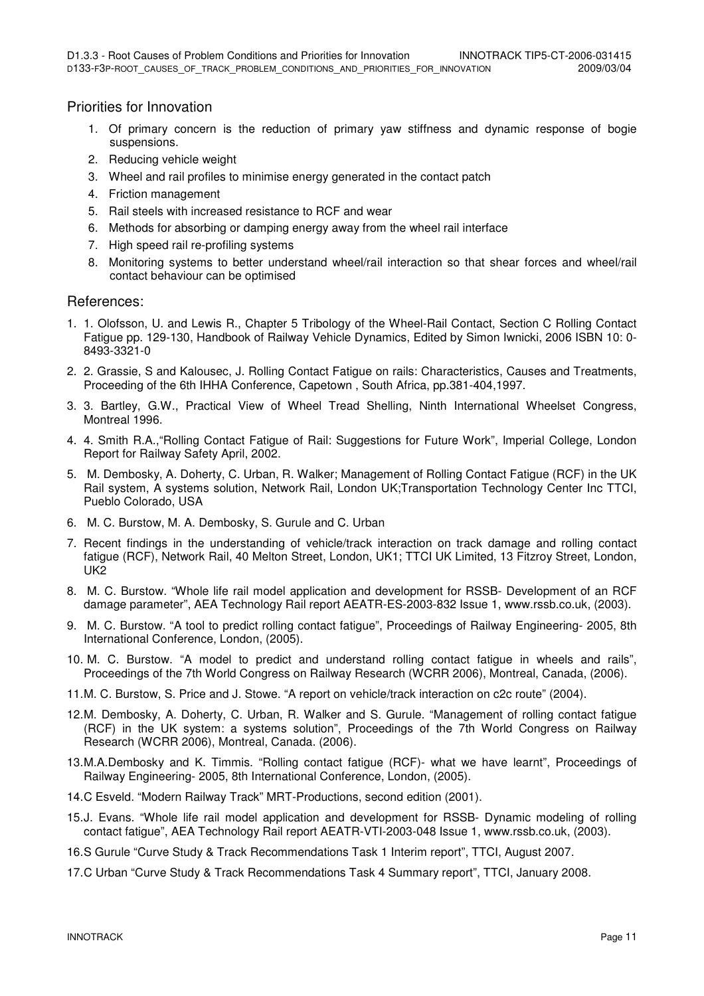#### Priorities for Innovation

- 1. Of primary concern is the reduction of primary yaw stiffness and dynamic response of bogie suspensions.
- 2. Reducing vehicle weight
- 3. Wheel and rail profiles to minimise energy generated in the contact patch
- 4. Friction management
- 5. Rail steels with increased resistance to RCF and wear
- 6. Methods for absorbing or damping energy away from the wheel rail interface
- 7. High speed rail re-profiling systems
- 8. Monitoring systems to better understand wheel/rail interaction so that shear forces and wheel/rail contact behaviour can be optimised

#### References:

- 1. 1. Olofsson, U. and Lewis R., Chapter 5 Tribology of the Wheel-Rail Contact, Section C Rolling Contact Fatigue pp. 129-130, Handbook of Railway Vehicle Dynamics, Edited by Simon Iwnicki, 2006 ISBN 10: 0- 8493-3321-0
- 2. 2. Grassie, S and Kalousec, J. Rolling Contact Fatigue on rails: Characteristics, Causes and Treatments, Proceeding of the 6th IHHA Conference, Capetown , South Africa, pp.381-404,1997.
- 3. 3. Bartley, G.W., Practical View of Wheel Tread Shelling, Ninth International Wheelset Congress, Montreal 1996.
- 4. 4. Smith R.A.,"Rolling Contact Fatigue of Rail: Suggestions for Future Work", Imperial College, London Report for Railway Safety April, 2002.
- 5. M. Dembosky, A. Doherty, C. Urban, R. Walker; Management of Rolling Contact Fatigue (RCF) in the UK Rail system, A systems solution, Network Rail, London UK;Transportation Technology Center Inc TTCI, Pueblo Colorado, USA
- 6. M. C. Burstow, M. A. Dembosky, S. Gurule and C. Urban
- 7. Recent findings in the understanding of vehicle/track interaction on track damage and rolling contact fatigue (RCF), Network Rail, 40 Melton Street, London, UK1; TTCI UK Limited, 13 Fitzroy Street, London, UK2
- 8. M. C. Burstow. "Whole life rail model application and development for RSSB- Development of an RCF damage parameter", AEA Technology Rail report AEATR-ES-2003-832 Issue 1, www.rssb.co.uk, (2003).
- 9. M. C. Burstow. "A tool to predict rolling contact fatigue", Proceedings of Railway Engineering- 2005, 8th International Conference, London, (2005).
- 10. M. C. Burstow. "A model to predict and understand rolling contact fatigue in wheels and rails", Proceedings of the 7th World Congress on Railway Research (WCRR 2006), Montreal, Canada, (2006).
- 11. M. C. Burstow, S. Price and J. Stowe. "A report on vehicle/track interaction on c2c route" (2004).
- 12. M. Dembosky, A. Doherty, C. Urban, R. Walker and S. Gurule. "Management of rolling contact fatigue (RCF) in the UK system: a systems solution", Proceedings of the 7th World Congress on Railway Research (WCRR 2006), Montreal, Canada. (2006).
- 13. M.A.Dembosky and K. Timmis. "Rolling contact fatigue (RCF)- what we have learnt", Proceedings of Railway Engineering- 2005, 8th International Conference, London, (2005).
- 14. C Esveld. "Modern Railway Track" MRT-Productions, second edition (2001).
- 15.J. Evans. "Whole life rail model application and development for RSSB- Dynamic modeling of rolling contact fatigue", AEA Technology Rail report AEATR-VTI-2003-048 Issue 1, www.rssb.co.uk, (2003).
- 16. S Gurule "Curve Study & Track Recommendations Task 1 Interim report", TTCI, August 2007.
- 17. C Urban "Curve Study & Track Recommendations Task 4 Summary report", TTCI, January 2008.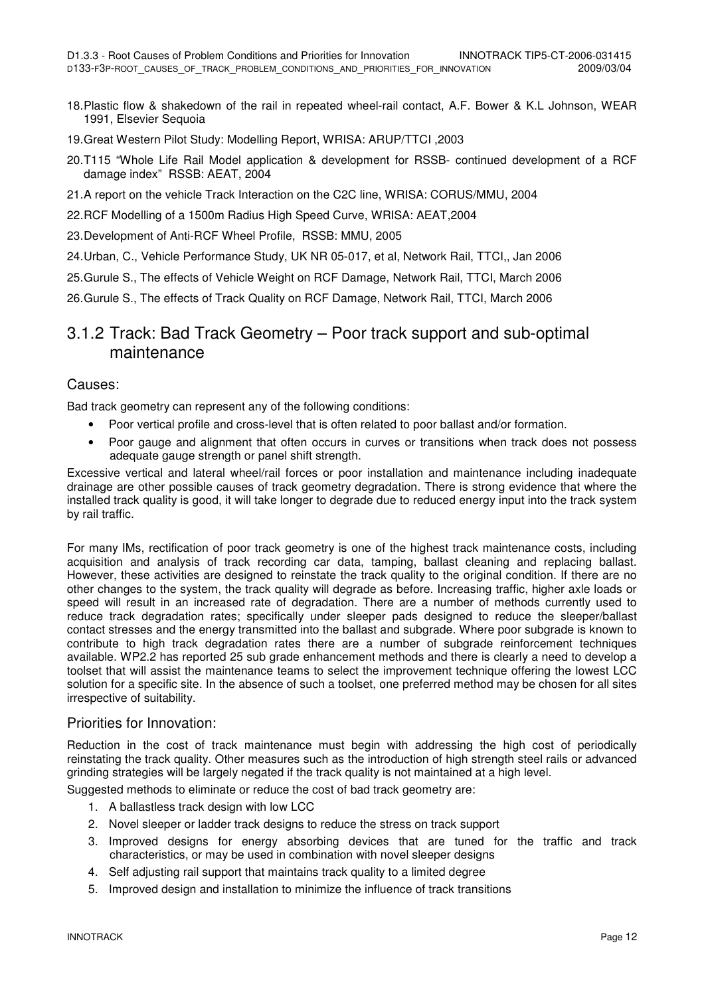- 18. Plastic flow & shakedown of the rail in repeated wheel-rail contact, A.F. Bower & K.L Johnson, WEAR 1991, Elsevier Sequoia
- 19. Great Western Pilot Study: Modelling Report, WRISA: ARUP/TTCI ,2003
- 20. T115 "Whole Life Rail Model application & development for RSSB- continued development of a RCF damage index" RSSB: AEAT, 2004
- 21. A report on the vehicle Track Interaction on the C2C line, WRISA: CORUS/MMU, 2004
- 22. RCF Modelling of a 1500m Radius High Speed Curve, WRISA: AEAT,2004
- 23. Development of Anti-RCF Wheel Profile, RSSB: MMU, 2005
- 24. Urban, C., Vehicle Performance Study, UK NR 05-017, et al, Network Rail, TTCI,, Jan 2006
- 25. Gurule S., The effects of Vehicle Weight on RCF Damage, Network Rail, TTCI, March 2006
- 26. Gurule S., The effects of Track Quality on RCF Damage, Network Rail, TTCI, March 2006

### 3.1.2 Track: Bad Track Geometry – Poor track support and sub-optimal maintenance

#### Causes:

Bad track geometry can represent any of the following conditions:

- Poor vertical profile and cross-level that is often related to poor ballast and/or formation.
- Poor gauge and alignment that often occurs in curves or transitions when track does not possess adequate gauge strength or panel shift strength.

Excessive vertical and lateral wheel/rail forces or poor installation and maintenance including inadequate drainage are other possible causes of track geometry degradation. There is strong evidence that where the installed track quality is good, it will take longer to degrade due to reduced energy input into the track system by rail traffic.

For many IMs, rectification of poor track geometry is one of the highest track maintenance costs, including acquisition and analysis of track recording car data, tamping, ballast cleaning and replacing ballast. However, these activities are designed to reinstate the track quality to the original condition. If there are no other changes to the system, the track quality will degrade as before. Increasing traffic, higher axle loads or speed will result in an increased rate of degradation. There are a number of methods currently used to reduce track degradation rates; specifically under sleeper pads designed to reduce the sleeper/ballast contact stresses and the energy transmitted into the ballast and subgrade. Where poor subgrade is known to contribute to high track degradation rates there are a number of subgrade reinforcement techniques available. WP2.2 has reported 25 sub grade enhancement methods and there is clearly a need to develop a toolset that will assist the maintenance teams to select the improvement technique offering the lowest LCC solution for a specific site. In the absence of such a toolset, one preferred method may be chosen for all sites irrespective of suitability.

#### Priorities for Innovation:

Reduction in the cost of track maintenance must begin with addressing the high cost of periodically reinstating the track quality. Other measures such as the introduction of high strength steel rails or advanced grinding strategies will be largely negated if the track quality is not maintained at a high level.

Suggested methods to eliminate or reduce the cost of bad track geometry are:

- 1. A ballastless track design with low LCC
- 2. Novel sleeper or ladder track designs to reduce the stress on track support
- 3. Improved designs for energy absorbing devices that are tuned for the traffic and track characteristics, or may be used in combination with novel sleeper designs
- 4. Self adjusting rail support that maintains track quality to a limited degree
- 5. Improved design and installation to minimize the influence of track transitions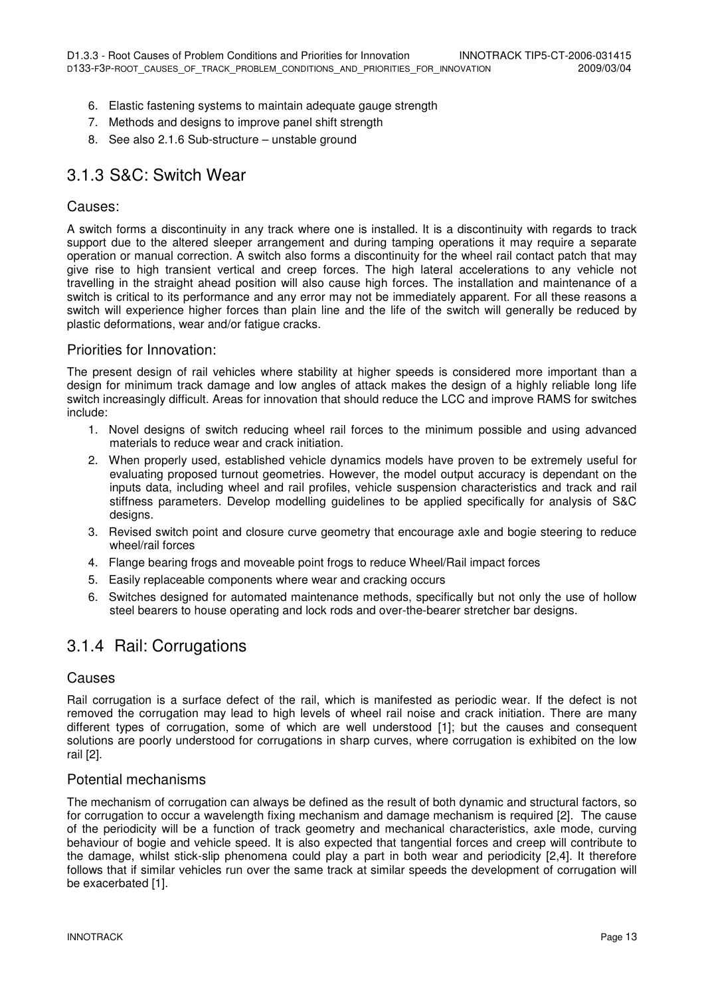- 6. Elastic fastening systems to maintain adequate gauge strength
- 7. Methods and designs to improve panel shift strength
- 8. See also 2.1.6 Sub-structure unstable ground

### 3.1.3 S&C: Switch Wear

#### Causes:

A switch forms a discontinuity in any track where one is installed. It is a discontinuity with regards to track support due to the altered sleeper arrangement and during tamping operations it may require a separate operation or manual correction. A switch also forms a discontinuity for the wheel rail contact patch that may give rise to high transient vertical and creep forces. The high lateral accelerations to any vehicle not travelling in the straight ahead position will also cause high forces. The installation and maintenance of a switch is critical to its performance and any error may not be immediately apparent. For all these reasons a switch will experience higher forces than plain line and the life of the switch will generally be reduced by plastic deformations, wear and/or fatigue cracks.

#### Priorities for Innovation:

The present design of rail vehicles where stability at higher speeds is considered more important than a design for minimum track damage and low angles of attack makes the design of a highly reliable long life switch increasingly difficult. Areas for innovation that should reduce the LCC and improve RAMS for switches include:

- 1. Novel designs of switch reducing wheel rail forces to the minimum possible and using advanced materials to reduce wear and crack initiation.
- 2. When properly used, established vehicle dynamics models have proven to be extremely useful for evaluating proposed turnout geometries. However, the model output accuracy is dependant on the inputs data, including wheel and rail profiles, vehicle suspension characteristics and track and rail stiffness parameters. Develop modelling guidelines to be applied specifically for analysis of S&C designs.
- 3. Revised switch point and closure curve geometry that encourage axle and bogie steering to reduce wheel/rail forces
- 4. Flange bearing frogs and moveable point frogs to reduce Wheel/Rail impact forces
- 5. Easily replaceable components where wear and cracking occurs
- 6. Switches designed for automated maintenance methods, specifically but not only the use of hollow steel bearers to house operating and lock rods and over-the-bearer stretcher bar designs.

### 3.1.4 Rail: Corrugations

#### Causes

Rail corrugation is a surface defect of the rail, which is manifested as periodic wear. If the defect is not removed the corrugation may lead to high levels of wheel rail noise and crack initiation. There are many different types of corrugation, some of which are well understood [1]; but the causes and consequent solutions are poorly understood for corrugations in sharp curves, where corrugation is exhibited on the low rail [2].

#### Potential mechanisms

The mechanism of corrugation can always be defined as the result of both dynamic and structural factors, so for corrugation to occur a wavelength fixing mechanism and damage mechanism is required [2]. The cause of the periodicity will be a function of track geometry and mechanical characteristics, axle mode, curving behaviour of bogie and vehicle speed. It is also expected that tangential forces and creep will contribute to the damage, whilst stick-slip phenomena could play a part in both wear and periodicity [2,4]. It therefore follows that if similar vehicles run over the same track at similar speeds the development of corrugation will be exacerbated [1].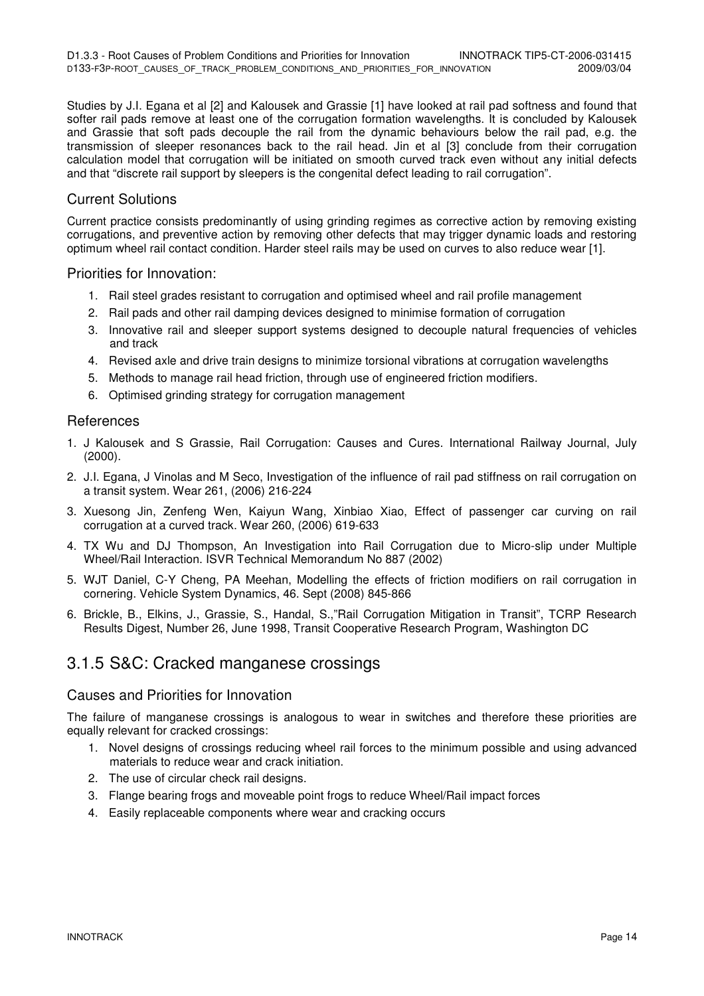Studies by J.I. Egana et al [2] and Kalousek and Grassie [1] have looked at rail pad softness and found that softer rail pads remove at least one of the corrugation formation wavelengths. It is concluded by Kalousek and Grassie that soft pads decouple the rail from the dynamic behaviours below the rail pad, e.g. the transmission of sleeper resonances back to the rail head. Jin et al [3] conclude from their corrugation calculation model that corrugation will be initiated on smooth curved track even without any initial defects and that "discrete rail support by sleepers is the congenital defect leading to rail corrugation".

#### Current Solutions

Current practice consists predominantly of using grinding regimes as corrective action by removing existing corrugations, and preventive action by removing other defects that may trigger dynamic loads and restoring optimum wheel rail contact condition. Harder steel rails may be used on curves to also reduce wear [1].

#### Priorities for Innovation:

- 1. Rail steel grades resistant to corrugation and optimised wheel and rail profile management
- 2. Rail pads and other rail damping devices designed to minimise formation of corrugation
- 3. Innovative rail and sleeper support systems designed to decouple natural frequencies of vehicles and track
- 4. Revised axle and drive train designs to minimize torsional vibrations at corrugation wavelengths
- 5. Methods to manage rail head friction, through use of engineered friction modifiers.
- 6. Optimised grinding strategy for corrugation management

#### **References**

- 1. J Kalousek and S Grassie, Rail Corrugation: Causes and Cures. International Railway Journal, July (2000).
- 2. J.I. Egana, J Vinolas and M Seco, Investigation of the influence of rail pad stiffness on rail corrugation on a transit system. Wear 261, (2006) 216-224
- 3. Xuesong Jin, Zenfeng Wen, Kaiyun Wang, Xinbiao Xiao, Effect of passenger car curving on rail corrugation at a curved track. Wear 260, (2006) 619-633
- 4. TX Wu and DJ Thompson, An Investigation into Rail Corrugation due to Micro-slip under Multiple Wheel/Rail Interaction. ISVR Technical Memorandum No 887 (2002)
- 5. WJT Daniel, C-Y Cheng, PA Meehan, Modelling the effects of friction modifiers on rail corrugation in cornering. Vehicle System Dynamics, 46. Sept (2008) 845-866
- 6. Brickle, B., Elkins, J., Grassie, S., Handal, S.,"Rail Corrugation Mitigation in Transit", TCRP Research Results Digest, Number 26, June 1998, Transit Cooperative Research Program, Washington DC

### 3.1.5 S&C: Cracked manganese crossings

#### Causes and Priorities for Innovation

The failure of manganese crossings is analogous to wear in switches and therefore these priorities are equally relevant for cracked crossings:

- 1. Novel designs of crossings reducing wheel rail forces to the minimum possible and using advanced materials to reduce wear and crack initiation.
- 2. The use of circular check rail designs.
- 3. Flange bearing frogs and moveable point frogs to reduce Wheel/Rail impact forces
- 4. Easily replaceable components where wear and cracking occurs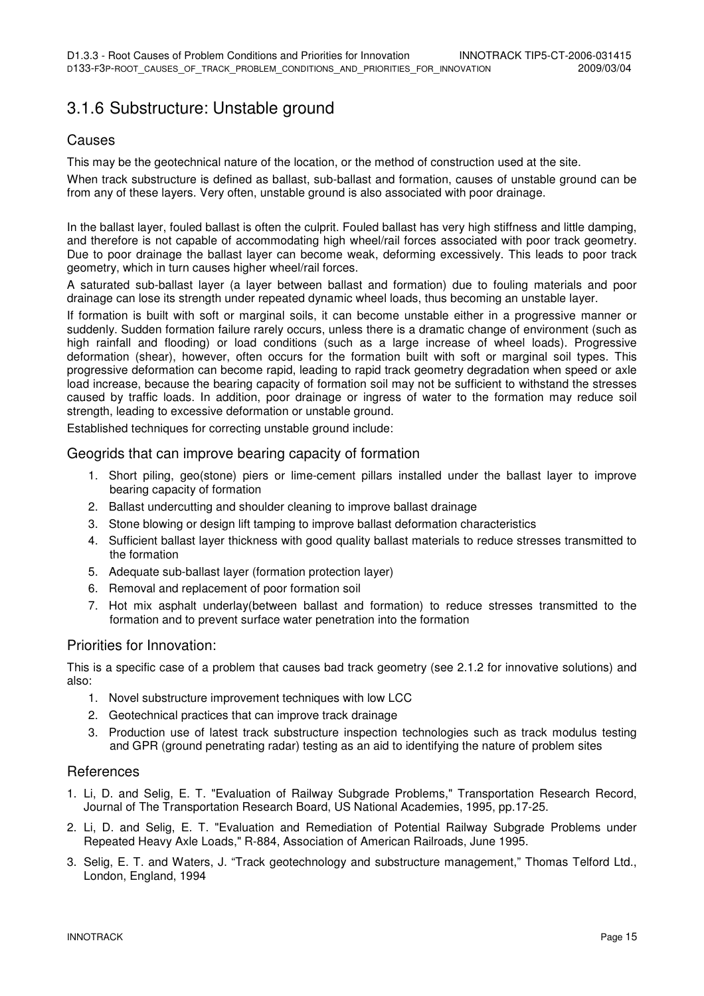### 3.1.6 Substructure: Unstable ground

#### Causes

This may be the geotechnical nature of the location, or the method of construction used at the site.

When track substructure is defined as ballast, sub-ballast and formation, causes of unstable ground can be from any of these layers. Very often, unstable ground is also associated with poor drainage.

In the ballast layer, fouled ballast is often the culprit. Fouled ballast has very high stiffness and little damping, and therefore is not capable of accommodating high wheel/rail forces associated with poor track geometry. Due to poor drainage the ballast layer can become weak, deforming excessively. This leads to poor track geometry, which in turn causes higher wheel/rail forces.

A saturated sub-ballast layer (a layer between ballast and formation) due to fouling materials and poor drainage can lose its strength under repeated dynamic wheel loads, thus becoming an unstable layer.

If formation is built with soft or marginal soils, it can become unstable either in a progressive manner or suddenly. Sudden formation failure rarely occurs, unless there is a dramatic change of environment (such as high rainfall and flooding) or load conditions (such as a large increase of wheel loads). Progressive deformation (shear), however, often occurs for the formation built with soft or marginal soil types. This progressive deformation can become rapid, leading to rapid track geometry degradation when speed or axle load increase, because the bearing capacity of formation soil may not be sufficient to withstand the stresses caused by traffic loads. In addition, poor drainage or ingress of water to the formation may reduce soil strength, leading to excessive deformation or unstable ground.

Established techniques for correcting unstable ground include:

#### Geogrids that can improve bearing capacity of formation

- 1. Short piling, geo(stone) piers or lime-cement pillars installed under the ballast layer to improve bearing capacity of formation
- 2. Ballast undercutting and shoulder cleaning to improve ballast drainage
- 3. Stone blowing or design lift tamping to improve ballast deformation characteristics
- 4. Sufficient ballast layer thickness with good quality ballast materials to reduce stresses transmitted to the formation
- 5. Adequate sub-ballast layer (formation protection layer)
- 6. Removal and replacement of poor formation soil
- 7. Hot mix asphalt underlay(between ballast and formation) to reduce stresses transmitted to the formation and to prevent surface water penetration into the formation

#### Priorities for Innovation:

This is a specific case of a problem that causes bad track geometry (see 2.1.2 for innovative solutions) and also:

- 1. Novel substructure improvement techniques with low LCC
- 2. Geotechnical practices that can improve track drainage
- 3. Production use of latest track substructure inspection technologies such as track modulus testing and GPR (ground penetrating radar) testing as an aid to identifying the nature of problem sites

#### References

- 1. Li, D. and Selig, E. T. "Evaluation of Railway Subgrade Problems," Transportation Research Record, Journal of The Transportation Research Board, US National Academies, 1995, pp.17-25.
- 2. Li, D. and Selig, E. T. "Evaluation and Remediation of Potential Railway Subgrade Problems under Repeated Heavy Axle Loads," R-884, Association of American Railroads, June 1995.
- 3. Selig, E. T. and Waters, J. "Track geotechnology and substructure management," Thomas Telford Ltd., London, England, 1994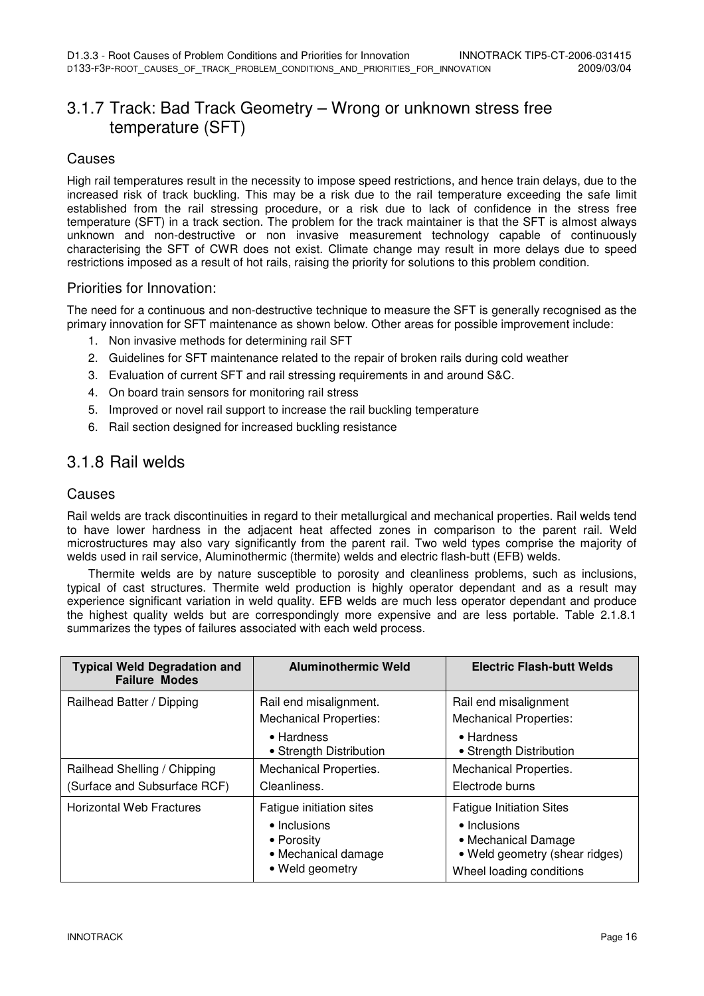### 3.1.7 Track: Bad Track Geometry – Wrong or unknown stress free temperature (SFT)

#### Causes

High rail temperatures result in the necessity to impose speed restrictions, and hence train delays, due to the increased risk of track buckling. This may be a risk due to the rail temperature exceeding the safe limit established from the rail stressing procedure, or a risk due to lack of confidence in the stress free temperature (SFT) in a track section. The problem for the track maintainer is that the SFT is almost always unknown and non-destructive or non invasive measurement technology capable of continuously characterising the SFT of CWR does not exist. Climate change may result in more delays due to speed restrictions imposed as a result of hot rails, raising the priority for solutions to this problem condition.

#### Priorities for Innovation:

The need for a continuous and non-destructive technique to measure the SFT is generally recognised as the primary innovation for SFT maintenance as shown below. Other areas for possible improvement include:

- 1. Non invasive methods for determining rail SFT
- 2. Guidelines for SFT maintenance related to the repair of broken rails during cold weather
- 3. Evaluation of current SFT and rail stressing requirements in and around S&C.
- 4. On board train sensors for monitoring rail stress
- 5. Improved or novel rail support to increase the rail buckling temperature
- 6. Rail section designed for increased buckling resistance

### 3.1.8 Rail welds

#### Causes

Rail welds are track discontinuities in regard to their metallurgical and mechanical properties. Rail welds tend to have lower hardness in the adjacent heat affected zones in comparison to the parent rail. Weld microstructures may also vary significantly from the parent rail. Two weld types comprise the majority of welds used in rail service, Aluminothermic (thermite) welds and electric flash-butt (EFB) welds.

Thermite welds are by nature susceptible to porosity and cleanliness problems, such as inclusions, typical of cast structures. Thermite weld production is highly operator dependant and as a result may experience significant variation in weld quality. EFB welds are much less operator dependant and produce the highest quality welds but are correspondingly more expensive and are less portable. Table 2.1.8.1 summarizes the types of failures associated with each weld process.

| <b>Typical Weld Degradation and</b><br><b>Failure Modes</b>  | <b>Aluminothermic Weld</b>                                                                       | <b>Electric Flash-butt Welds</b>                                                                                                     |
|--------------------------------------------------------------|--------------------------------------------------------------------------------------------------|--------------------------------------------------------------------------------------------------------------------------------------|
| Railhead Batter / Dipping                                    | Rail end misalignment.<br><b>Mechanical Properties:</b><br>• Hardness                            | Rail end misalignment<br><b>Mechanical Properties:</b><br>• Hardness                                                                 |
| Railhead Shelling / Chipping<br>(Surface and Subsurface RCF) | • Strength Distribution<br>Mechanical Properties.<br>Cleanliness.                                | • Strength Distribution<br>Mechanical Properties.<br>Electrode burns                                                                 |
| <b>Horizontal Web Fractures</b>                              | Fatigue initiation sites<br>• Inclusions<br>• Porosity<br>• Mechanical damage<br>• Weld geometry | <b>Fatigue Initiation Sites</b><br>• Inclusions<br>• Mechanical Damage<br>• Weld geometry (shear ridges)<br>Wheel loading conditions |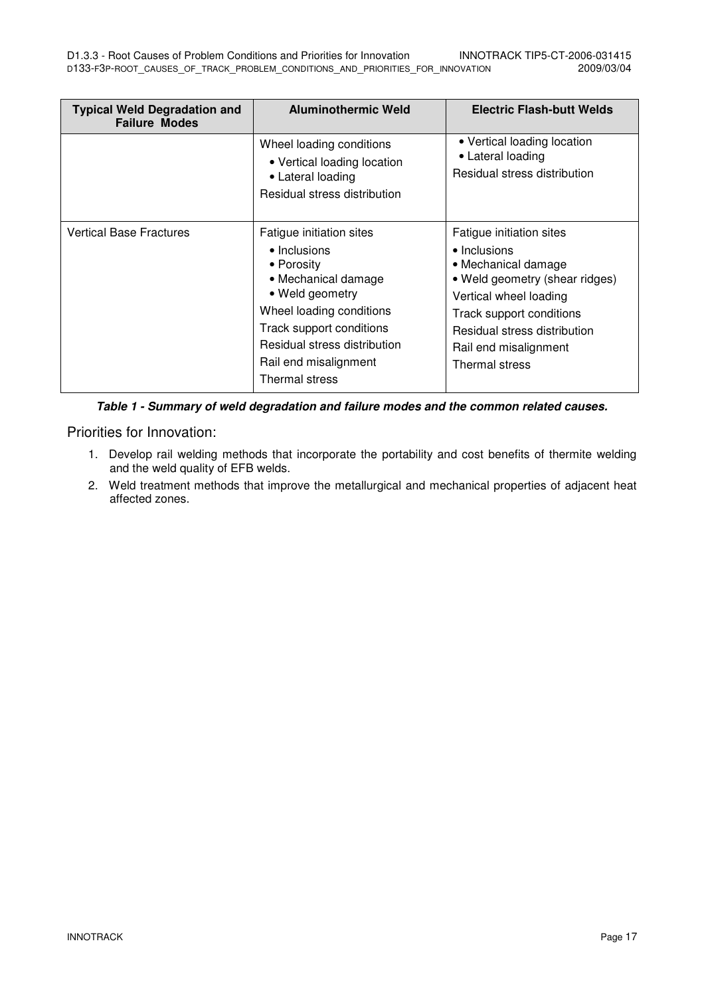| <b>Typical Weld Degradation and</b><br><b>Failure Modes</b> | <b>Aluminothermic Weld</b>                                                                                                                                                                                                          | <b>Electric Flash-butt Welds</b>                                                                                                                                                                                                   |
|-------------------------------------------------------------|-------------------------------------------------------------------------------------------------------------------------------------------------------------------------------------------------------------------------------------|------------------------------------------------------------------------------------------------------------------------------------------------------------------------------------------------------------------------------------|
|                                                             | Wheel loading conditions<br>• Vertical loading location<br>• Lateral loading<br>Residual stress distribution                                                                                                                        | • Vertical loading location<br>• Lateral loading<br>Residual stress distribution                                                                                                                                                   |
| <b>Vertical Base Fractures</b>                              | Fatigue initiation sites<br>• Inclusions<br>• Porosity<br>• Mechanical damage<br>• Weld geometry<br>Wheel loading conditions<br>Track support conditions<br>Residual stress distribution<br>Rail end misalignment<br>Thermal stress | Fatigue initiation sites<br>• Inclusions<br>• Mechanical damage<br>• Weld geometry (shear ridges)<br>Vertical wheel loading<br>Track support conditions<br>Residual stress distribution<br>Rail end misalignment<br>Thermal stress |

**Table 1 - Summary of weld degradation and failure modes and the common related causes.** 

Priorities for Innovation:

- 1. Develop rail welding methods that incorporate the portability and cost benefits of thermite welding and the weld quality of EFB welds.
- 2. Weld treatment methods that improve the metallurgical and mechanical properties of adjacent heat affected zones.